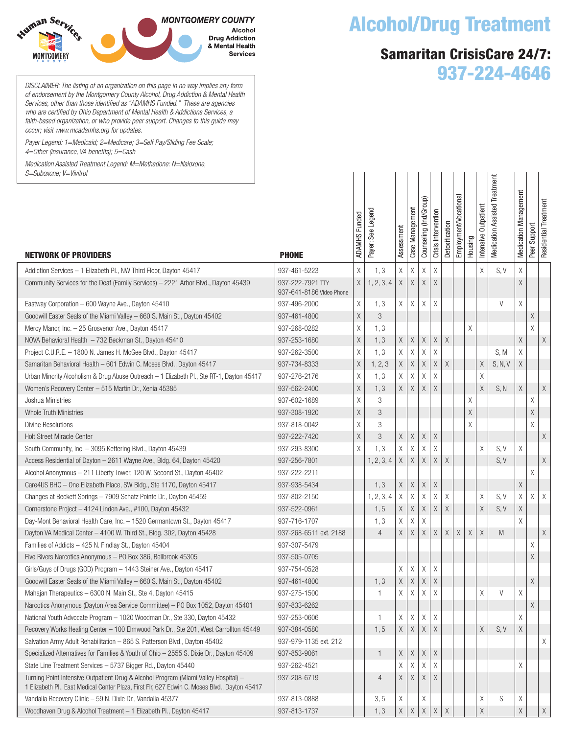

*DISCLAIMER: The listing of an organization on this page in no way implies any form of endorsement by the Montgomery County Alcohol, Drug Addiction & Mental Health Services, other than those identified as "ADAMHS Funded." These are agencies who are certified by Ohio Department of Mental Health & Addictions Services, a faith-based organization, or who provide peer support. Changes to this guide may occur; visit www.mcadamhs.org for updates.*

*Payer Legend: 1=Medicaid; 2=Medicare; 3=Self Pay/Sliding Fee Scale; 4=Other (insurance, VA benefits); 5=Cash*

*Medication Assisted Treatment Legend: M=Methadone: N=Naloxone,* 

## Alcohol/Drug Treatment

## Samaritan CrisisCare 24/7: 937-224-4646

| S=Suboxone; V=Vivitrol                                                                                                                                                               |                                              |                      |                   |             |                 |                        |                     |                |                       |         |                      |                               |                              |                 |                       |
|--------------------------------------------------------------------------------------------------------------------------------------------------------------------------------------|----------------------------------------------|----------------------|-------------------|-------------|-----------------|------------------------|---------------------|----------------|-----------------------|---------|----------------------|-------------------------------|------------------------------|-----------------|-----------------------|
| <b>NETWORK OF PROVIDERS</b>                                                                                                                                                          | <b>PHONE</b>                                 | <b>ADAMHS Funded</b> | Payer: See Legend | Assessment  | Case Management | Counseling (Ind/Group) | Crisis Intervention | Detoxification | Employment/Vocational | Housing | Intensive Outpatient | Medication Assisted Treatment | <b>Medication Management</b> | Support<br>Peer | Residential Treatment |
| Addiction Services - 1 Elizabeth Pl., NW Third Floor, Dayton 45417                                                                                                                   | 937-461-5223                                 | Χ                    | 1, 3              | $\mathsf X$ | Χ               | Χ                      | $\chi$              |                |                       |         | X                    | S, V                          | X                            |                 |                       |
| Community Services for the Deaf (Family Services) - 2221 Arbor Blvd., Dayton 45439                                                                                                   | 937-222-7921 TTY<br>937-641-8186 Video Phone | $\chi$               | 1, 2, 3, 4        | Χ           | $\mathsf X$     | X                      | $\chi$              |                |                       |         |                      |                               | X                            |                 |                       |
| Eastway Corporation - 600 Wayne Ave., Dayton 45410                                                                                                                                   | 937-496-2000                                 | Χ                    | 1, 3              | Χ           | χ               | Χ                      | X                   |                |                       |         |                      | V                             | X                            |                 |                       |
| Goodwill Easter Seals of the Miami Valley – 660 S. Main St., Dayton 45402                                                                                                            | 937-461-4800                                 | $\mathsf X$          | 3                 |             |                 |                        |                     |                |                       |         |                      |                               |                              | Χ               |                       |
| Mercy Manor, Inc. - 25 Grosvenor Ave., Dayton 45417                                                                                                                                  | 937-268-0282                                 | Χ                    | 1, 3              |             |                 |                        |                     |                |                       | Χ       |                      |                               |                              | X               |                       |
| NOVA Behavioral Health - 732 Beckman St., Dayton 45410                                                                                                                               | 937-253-1680                                 | $\mathsf X$          | 1, 3              | $\mathsf X$ | $\mathsf X$     | X                      | Χ                   | Χ              |                       |         |                      |                               | X                            |                 | $\mathsf X$           |
| Project C.U.R.E. - 1800 N. James H. McGee Blvd., Dayton 45417                                                                                                                        | 937-262-3500                                 | Χ                    | 1, 3              | X           | Χ               | Χ                      | X                   |                |                       |         |                      | S, M                          | X                            |                 |                       |
| Samaritan Behavioral Health - 601 Edwin C. Moses Blvd., Dayton 45417                                                                                                                 | 937-734-8333                                 | $\mathsf X$          | 1, 2, 3           | Χ           | $\mathsf X$     | Χ                      | Χ                   | Χ              |                       |         | $\mathsf X$          | S, N, V                       | Χ                            |                 |                       |
| Urban Minority Alcoholism & Drug Abuse Outreach - 1 Elizabeth Pl., Ste RT-1, Dayton 45417                                                                                            | 937-276-2176                                 | Χ                    | 1, 3              | Χ           | Χ               | Χ                      | X                   |                |                       |         | Χ                    |                               |                              |                 |                       |
| Women's Recovery Center - 515 Martin Dr., Xenia 45385                                                                                                                                | 937-562-2400                                 | $\mathsf X$          | 1, 3              | Χ           | Χ               | Χ                      | $\mathsf X$         |                |                       |         | $\chi$               | S, N                          | Χ                            |                 | $\mathsf X$           |
| Joshua Ministries                                                                                                                                                                    | 937-602-1689                                 | Χ                    | 3                 |             |                 |                        |                     |                |                       | Χ       |                      |                               |                              | Χ               |                       |
| Whole Truth Ministries                                                                                                                                                               | 937-308-1920                                 | $\mathsf X$          | 3                 |             |                 |                        |                     |                |                       | Χ       |                      |                               |                              | $\mathsf X$     |                       |
| <b>Divine Resolutions</b>                                                                                                                                                            | 937-818-0042                                 | Χ                    | 3                 |             |                 |                        |                     |                |                       | Χ       |                      |                               |                              | X               |                       |
| <b>Holt Street Miracle Center</b>                                                                                                                                                    | 937-222-7420                                 | $\mathsf X$          | 3                 | $\mathsf X$ | $\mathsf X$     | Χ                      | Χ                   |                |                       |         |                      |                               |                              |                 | $\mathsf X$           |
| South Community, Inc. - 3095 Kettering Blvd., Dayton 45439                                                                                                                           | 937-293-8300                                 | X                    | 1, 3              | Χ           | Χ               | Χ                      | X                   |                |                       |         | X                    | S, V                          | Χ                            |                 |                       |
| Access Residential of Dayton - 2611 Wayne Ave., Bldg. 64, Dayton 45420                                                                                                               | 937-256-7801                                 |                      | 1, 2, 3, 4        | Χ           | $\mathsf X$     | X                      | Χ                   | Χ              |                       |         |                      | S, V                          |                              |                 | $\mathsf X$           |
| Alcohol Anonymous - 211 Liberty Tower, 120 W. Second St., Dayton 45402                                                                                                               | 937-222-2211                                 |                      |                   |             |                 |                        |                     |                |                       |         |                      |                               |                              | Χ               |                       |
| Care4US BHC - One Elizabeth Place, SW Bldg., Ste 1170, Dayton 45417                                                                                                                  | 937-938-5434                                 |                      | 1, 3              | $\mathsf X$ | $\chi$          | Χ                      | Χ                   |                |                       |         |                      |                               | X                            |                 |                       |
| Changes at Beckett Springs – 7909 Schatz Pointe Dr., Dayton 45459                                                                                                                    | 937-802-2150                                 |                      | 1, 2, 3, 4        | Χ           | Χ               | X                      | Χ                   | Χ              |                       |         | Χ                    | S, V                          | Χ                            | Χ               | X                     |
| Cornerstone Project - 4124 Linden Ave., #100, Dayton 45432                                                                                                                           | 937-522-0961                                 |                      | 1, 5              | Χ           | Χ               | Χ                      | Χ                   | $\mathsf X$    |                       |         | $\mathsf X$          | S, V                          | Χ                            |                 |                       |
| Day-Mont Behavioral Health Care, Inc. - 1520 Germantown St., Dayton 45417                                                                                                            | 937-716-1707                                 |                      | 1, 3              | Χ           | Χ               | Χ                      |                     |                |                       |         |                      |                               | X                            |                 |                       |
| Dayton VA Medical Center - 4100 W. Third St., Bldg. 302, Dayton 45428                                                                                                                | 937-268-6511 ext. 2188                       |                      | $\overline{4}$    | Χ           | Χ               | $\times$               | Χ                   | X              | Χ                     | Χ       | $\mathsf X$          | M                             |                              |                 | $\mathsf X$           |
| Families of Addicts - 425 N. Findlay St., Dayton 45404                                                                                                                               | 937-307-5479                                 |                      |                   |             |                 |                        |                     |                |                       |         |                      |                               |                              | Χ               |                       |
| Five Rivers Narcotics Anonymous - PO Box 386, Bellbrook 45305                                                                                                                        | 937-505-0705                                 |                      |                   |             |                 |                        |                     |                |                       |         |                      |                               |                              | $\mathsf X$     |                       |
| Girls/Guys of Drugs (GOD) Program - 1443 Steiner Ave., Dayton 45417                                                                                                                  | 937-754-0528                                 |                      |                   | X           | Χ               | Χ                      | Χ                   |                |                       |         |                      |                               |                              |                 |                       |
| Goodwill Easter Seals of the Miami Valley - 660 S. Main St., Dayton 45402                                                                                                            | 937-461-4800                                 |                      | 1, 3              | $\mathsf X$ | $\mathsf X$     | $\mathsf X$            | $\mathsf X$         |                |                       |         |                      |                               |                              | $\mathsf X$     |                       |
| Mahajan Therapeutics - 6300 N. Main St., Ste 4, Dayton 45415                                                                                                                         | 937-275-1500                                 |                      | $\mathbf{1}$      | Χ           | Χ               | Χ                      | Χ                   |                |                       |         | χ                    | V                             | Χ                            |                 |                       |
| Narcotics Anonymous (Dayton Area Service Committee) - PO Box 1052, Dayton 45401                                                                                                      | 937-833-6262                                 |                      |                   |             |                 |                        |                     |                |                       |         |                      |                               |                              | Χ               |                       |
| National Youth Advocate Program - 1020 Woodman Dr., Ste 330, Dayton 45432                                                                                                            | 937-253-0606                                 |                      | -1                | Χ           | Χ               | X                      | X                   |                |                       |         |                      |                               | X                            |                 |                       |
| Recovery Works Healing Center - 100 Elmwood Park Dr., Ste 201, West Carrollton 45449                                                                                                 | 937-384-0580                                 |                      | 1, 5              | $\mathsf X$ | $\mathsf X$     | Χ                      | Χ                   |                |                       |         | $\mathsf X$          | S, V                          | Χ                            |                 |                       |
| Salvation Army Adult Rehabilitation - 865 S. Patterson Blvd., Dayton 45402                                                                                                           | 937-979-1135 ext. 212                        |                      |                   |             |                 |                        |                     |                |                       |         |                      |                               |                              |                 | Χ                     |
| Specialized Alternatives for Families & Youth of Ohio – 2555 S. Dixie Dr., Dayton 45409                                                                                              | 937-853-9061                                 |                      | $\mathbf{1}$      | X           | X               | Χ                      | Χ                   |                |                       |         |                      |                               |                              |                 |                       |
| State Line Treatment Services - 5737 Bigger Rd., Dayton 45440                                                                                                                        | 937-262-4521                                 |                      |                   | Χ           | χ               | X                      | X                   |                |                       |         |                      |                               | X                            |                 |                       |
| Turning Point Intensive Outpatient Drug & Alcohol Program (Miami Valley Hospital) -<br>1 Elizabeth Pl., East Medical Center Plaza, First Flr, 627 Edwin C. Moses Blvd., Dayton 45417 | 937-208-6719                                 |                      | 4                 | Χ           | Χ               | Χ                      | Χ                   |                |                       |         |                      |                               |                              |                 |                       |
| Vandalia Recovery Clinic - 59 N. Dixie Dr., Vandalia 45377                                                                                                                           | 937-813-0888                                 |                      | 3, 5              | Χ           |                 | Χ                      |                     |                |                       |         | χ                    | S                             | Χ                            |                 |                       |
| Woodhaven Drug & Alcohol Treatment - 1 Elizabeth Pl., Dayton 45417                                                                                                                   | 937-813-1737                                 |                      | 1, 3              | Χ           | $\mathsf X$     | Χ                      | $\mathsf X$         | $\mathsf X$    |                       |         | $\mathsf X$          |                               | Χ                            |                 | $\mathsf X$           |